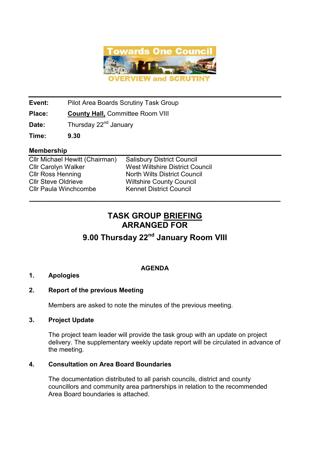

Event: Pilot Area Boards Scrutiny Task Group

Place: County Hall, Committee Room VIII

**Date:** Thursday  $22^{nd}$  January

Time: 9.30

#### Membership

Cllr Michael Hewitt (Chairman) Salisbury District Council Cllr Carolyn Walker West Wiltshire District Council<br>Cllr Ross Henning Morth Wilts District Council Cllr Ross Henning<br>
Cllr Steve Oldrieve 
North Wilts District Council<br>
Wiltshire County Council Cllr Paula Winchcombe Kennet District Council

Wiltshire County Council

## TASK GROUP BRIEFING ARRANGED FOR

\_\_\_\_\_\_\_\_\_\_\_\_\_\_\_\_\_\_\_\_\_\_\_\_\_\_\_\_\_\_\_\_\_\_\_\_\_\_\_\_\_\_\_\_\_\_\_\_\_\_\_\_\_\_\_\_

# 9.00 Thursday 22<sup>nd</sup> January Room VIII

## AGENDA

### 1. Apologies

### 2. Report of the previous Meeting

Members are asked to note the minutes of the previous meeting.

### 3. Project Update

 The project team leader will provide the task group with an update on project delivery. The supplementary weekly update report will be circulated in advance of the meeting.

### 4. Consultation on Area Board Boundaries

 The documentation distributed to all parish councils, district and county councillors and community area partnerships in relation to the recommended Area Board boundaries is attached.